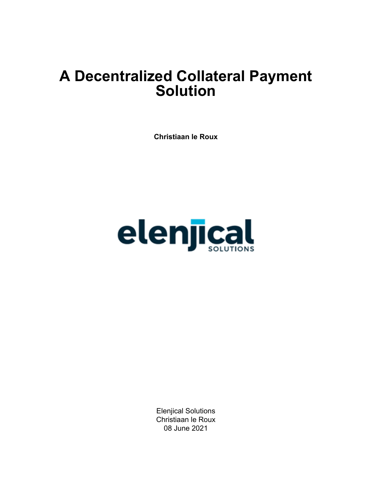# **A Decentralized Collateral Payment Solution**

**Christiaan le Roux**



Elenjical Solutions Christiaan le Roux 08 June 2021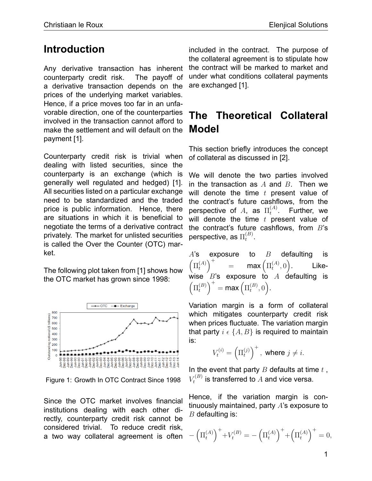## **Introduction**

Any derivative transaction has inherent counterparty credit risk. The payoff of a derivative transaction depends on the prices of the underlying market variables. Hence, if a price moves too far in an unfavorable direction, one of the counterparties involved in the transaction cannot afford to make the settlement and will default on the payment [1].

Counterparty credit risk is trivial when dealing with listed securities, since the counterparty is an exchange (which is generally well regulated and hedged) [1]. All securities listed on a particular exchange need to be standardized and the traded price is public information. Hence, there are situations in which it is beneficial to negotiate the terms of a derivative contract privately. The market for unlisted securities is called the Over the Counter (OTC) market.

The following plot taken from [1] shows how the OTC market has grown since 1998:



Figure 1: Growth In OTC Contract Since 1998

Since the OTC market involves financial institutions dealing with each other directly, counterparty credit risk cannot be considered trivial. To reduce credit risk, a two way collateral agreement is often

included in the contract. The purpose of the collateral agreement is to stipulate how the contract will be marked to market and under what conditions collateral payments are exchanged [1].

### **The Theoretical Collateral Model**

This section briefly introduces the concept of collateral as discussed in [2].

We will denote the two parties involved in the transaction as *A* and *B*. Then we will denote the time *t* present value of the contract's future cashflows, from the perspective of  $A$ , as  $\Pi_t^{(A)}$ *t* . Further, we will denote the time *t* present value of the contract's future cashflows, from *B*'s perspective, as  $\Pi_t^{(B)}$  $t^{(B)}$ .

*A*'s exposure to *B* defaulting is  $\left(\prod_{t}^{(A)}\right)$ *t*  $\chi^+$  $=$  max  $\left(\Pi_t^{(A)}\right)$  $_{t}^{(A)}, 0)$ . Likewise *B*'s exposure to *A* defaulting is  $\left(\prod_{t}^{(B)}\right)$ *t*  $\big)^{+}$  = max  $\big(\Pi_t^{(B)}\big)$  $_{t}^{(B)}, 0.$ 

Variation margin is a form of collateral which mitigates counterparty credit risk when prices fluctuate. The variation margin that party  $i \in \{A, B\}$  is required to maintain is:

$$
V_t^{(i)} = \left(\Pi_t^{(j)}\right)^+, \text{ where } j \neq i.
$$

In the event that party *B* defaults at time *t* ,  $V_t^{(B)}$  $t^{(B)}$  is transferred to  $A$  and vice versa.

Hence, if the variation margin is continuously maintained, party *A*'s exposure to *B* defaulting is:

$$
-\left(\Pi_t^{(A)}\right)^+ + V_t^{(B)} = -\left(\Pi_t^{(A)}\right)^+ + \left(\Pi_t^{(A)}\right)^+ = 0,
$$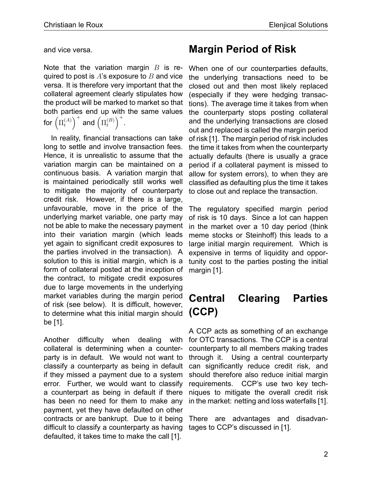and vice versa.

Note that the variation margin *B* is required to post is *A*'s exposure to *B* and vice versa. It is therefore very important that the collateral agreement clearly stipulates how the product will be marked to market so that both parties end up with the same values for  $\left(\Pi_t^{(A)}\right)$ *t*  $\int_0^+$  and  $\left(\Pi_t^{(B)}\right)$ *t*  $\chi^+$ .

In reality, financial transactions can take long to settle and involve transaction fees. Hence, it is unrealistic to assume that the variation margin can be maintained on a continuous basis. A variation margin that is maintained periodically still works well to mitigate the majority of counterparty credit risk. However, if there is a large, unfavourable, move in the price of the underlying market variable, one party may not be able to make the necessary payment into their variation margin (which leads yet again to significant credit exposures to the parties involved in the transaction). A solution to this is initial margin, which is a form of collateral posted at the inception of the contract, to mitigate credit exposures due to large movements in the underlying market variables during the margin period of risk (see below). It is difficult, however, to determine what this initial margin should be [1].

Another difficulty when dealing with collateral is determining when a counterparty is in default. We would not want to classify a counterparty as being in default if they missed a payment due to a system error. Further, we would want to classify a counterpart as being in default if there has been no need for them to make any payment, yet they have defaulted on other contracts or are bankrupt. Due to it being difficult to classify a counterparty as having defaulted, it takes time to make the call [1].

### **Margin Period of Risk**

When one of our counterparties defaults, the underlying transactions need to be closed out and then most likely replaced (especially if they were hedging transactions). The average time it takes from when the counterparty stops posting collateral and the underlying transactions are closed out and replaced is called the margin period of risk [1]. The margin period of risk includes the time it takes from when the counterparty actually defaults (there is usually a grace period if a collateral payment is missed to allow for system errors), to when they are classified as defaulting plus the time it takes to close out and replace the transaction.

The regulatory specified margin period of risk is 10 days. Since a lot can happen in the market over a 10 day period (think meme stocks or Steinhoff) this leads to a large initial margin requirement. Which is expensive in terms of liquidity and opportunity cost to the parties posting the initial margin [1].

### **Central Clearing Parties (CCP)**

A CCP acts as something of an exchange for OTC transactions. The CCP is a central counterparty to all members making trades through it. Using a central counterparty can significantly reduce credit risk, and should therefore also reduce initial margin requirements. CCP's use two key techniques to mitigate the overall credit risk in the market: netting and loss waterfalls [1].

There are advantages and disadvantages to CCP's discussed in [1].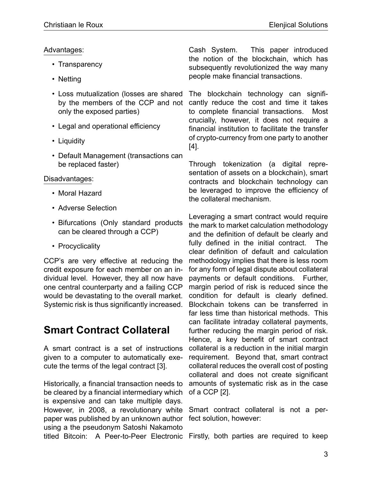#### Advantages:

- Transparency
- Netting
- Loss mutualization (losses are shared by the members of the CCP and not only the exposed parties)
- Legal and operational efficiency
- Liquidity
- Default Management (transactions can be replaced faster)

### Disadvantages:

- Moral Hazard
- Adverse Selection
- Bifurcations (Only standard products can be cleared through a CCP)
- Procyclicality

CCP's are very effective at reducing the credit exposure for each member on an individual level. However, they all now have one central counterparty and a failing CCP would be devastating to the overall market. Systemic risk is thus significantly increased.

### **Smart Contract Collateral**

A smart contract is a set of instructions given to a computer to automatically execute the terms of the legal contract [3].

Historically, a financial transaction needs to be cleared by a financial intermediary which is expensive and can take multiple days. However, in 2008, a revolutionary white Smart contract collateral is not a perpaper was published by an unknown author fect solution, however: using a the pseudonym Satoshi Nakamoto

Cash System. This paper introduced the notion of the blockchain, which has subsequently revolutionized the way many people make financial transactions.

The blockchain technology can significantly reduce the cost and time it takes to complete financial transactions. Most crucially, however, it does not require a financial institution to facilitate the transfer of crypto-currency from one party to another [4].

Through tokenization (a digital representation of assets on a blockchain), smart contracts and blockchain technology can be leveraged to improve the efficiency of the collateral mechanism.

Leveraging a smart contract would require the mark to market calculation methodology and the definition of default be clearly and fully defined in the initial contract. The clear definition of default and calculation methodology implies that there is less room for any form of legal dispute about collateral payments or default conditions. Further, margin period of risk is reduced since the condition for default is clearly defined. Blockchain tokens can be transferred in far less time than historical methods. This can facilitate intraday collateral payments, further reducing the margin period of risk. Hence, a key benefit of smart contract collateral is a reduction in the initial margin requirement. Beyond that, smart contract collateral reduces the overall cost of posting collateral and does not create significant amounts of systematic risk as in the case of a CCP [2].

titled Bitcoin: A Peer-to-Peer Electronic Firstly, both parties are required to keep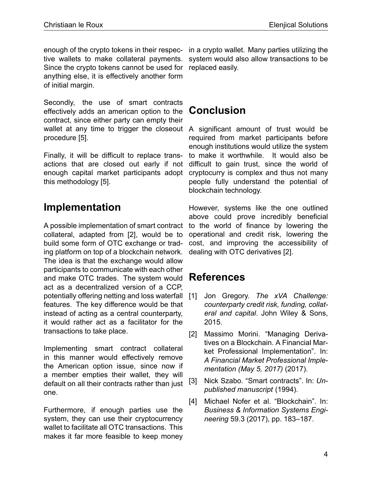enough of the crypto tokens in their respec-in a crypto wallet. Many parties utilizing the tive wallets to make collateral payments. Since the crypto tokens cannot be used for anything else, it is effectively another form of initial margin.

Secondly, the use of smart contracts effectively adds an american option to the **Conclusion** contract, since either party can empty their wallet at any time to trigger the closeout A significant amount of trust would be procedure [5].

Finally, it will be difficult to replace transactions that are closed out early if not enough capital market participants adopt this methodology [5].

### **Implementation**

A possible implementation of smart contract collateral, adapted from [2], would be to build some form of OTC exchange or trading platform on top of a blockchain network. The idea is that the exchange would allow participants to communicate with each other and make OTC trades. The system would act as a decentralized version of a CCP, potentially offering netting and loss waterfall features. The key difference would be that instead of acting as a central counterparty, it would rather act as a facilitator for the transactions to take place.

Implementing smart contract collateral in this manner would effectively remove the American option issue, since now if a member empties their wallet, they will default on all their contracts rather than just one.

Furthermore, if enough parties use the system, they can use their cryptocurrency wallet to facilitate all OTC transactions. This makes it far more feasible to keep money

system would also allow transactions to be replaced easily.

required from market participants before enough institutions would utilize the system to make it worthwhile. It would also be difficult to gain trust, since the world of cryptocurry is complex and thus not many people fully understand the potential of blockchain technology.

However, systems like the one outlined above could prove incredibly beneficial to the world of finance by lowering the operational and credit risk, lowering the cost, and improving the accessibility of dealing with OTC derivatives [2].

### **References**

- [1] Jon Gregory. *The xVA Challenge: counterparty credit risk, funding, collateral and capital*. John Wiley & Sons, 2015.
- [2] Massimo Morini. "Managing Derivatives on a Blockchain. A Financial Market Professional Implementation". In: *A Financial Market Professional Implementation (May 5, 2017)* (2017).
- [3] Nick Szabo. "Smart contracts". In: *Unpublished manuscript* (1994).
- [4] Michael Nofer et al. "Blockchain". In: *Business & Information Systems Engineering* 59.3 (2017), pp. 183–187.